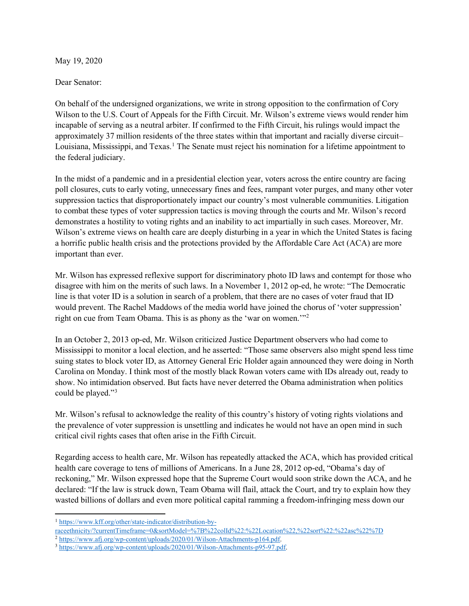May 19, 2020

Dear Senator:

On behalf of the undersigned organizations, we write in strong opposition to the confirmation of Cory Wilson to the U.S. Court of Appeals for the Fifth Circuit. Mr. Wilson's extreme views would render him incapable of serving as a neutral arbiter. If confirmed to the Fifth Circuit, his rulings would impact the approximately 37 million residents of the three states within that important and racially diverse circuit– Louisiana, Mississippi, and Texas. [1](#page-0-0) The Senate must reject his nomination for a lifetime appointment to the federal judiciary.

In the midst of a pandemic and in a presidential election year, voters across the entire country are facing poll closures, cuts to early voting, unnecessary fines and fees, rampant voter purges, and many other voter suppression tactics that disproportionately impact our country's most vulnerable communities. Litigation to combat these types of voter suppression tactics is moving through the courts and Mr. Wilson's record demonstrates a hostility to voting rights and an inability to act impartially in such cases. Moreover, Mr. Wilson's extreme views on health care are deeply disturbing in a year in which the United States is facing a horrific public health crisis and the protections provided by the Affordable Care Act (ACA) are more important than ever.

Mr. Wilson has expressed reflexive support for discriminatory photo ID laws and contempt for those who disagree with him on the merits of such laws. In a November 1, 2012 op-ed, he wrote: "The Democratic line is that voter ID is a solution in search of a problem, that there are no cases of voter fraud that ID would prevent. The Rachel Maddows of the media world have joined the chorus of 'voter suppression' right on cue from Team Obama. This is as phony as the 'war on women.'"[2](#page-0-1)

In an October 2, 2013 op-ed, Mr. Wilson criticized Justice Department observers who had come to Mississippi to monitor a local election, and he asserted: "Those same observers also might spend less time suing states to block voter ID, as Attorney General Eric Holder again announced they were doing in North Carolina on Monday. I think most of the mostly black Rowan voters came with IDs already out, ready to show. No intimidation observed. But facts have never deterred the Obama administration when politics could be played."[3](#page-0-2)

Mr. Wilson's refusal to acknowledge the reality of this country's history of voting rights violations and the prevalence of voter suppression is unsettling and indicates he would not have an open mind in such critical civil rights cases that often arise in the Fifth Circuit.

Regarding access to health care, Mr. Wilson has repeatedly attacked the ACA, which has provided critical health care coverage to tens of millions of Americans. In a June 28, 2012 op-ed, "Obama's day of reckoning," Mr. Wilson expressed hope that the Supreme Court would soon strike down the ACA, and he declared: "If the law is struck down, Team Obama will flail, attack the Court, and try to explain how they wasted billions of dollars and even more political capital ramming a freedom-infringing mess down our

<span id="page-0-0"></span><sup>1</sup> [https://www.kff.org/other/state-indicator/distribution-by-](https://www.kff.org/other/state-indicator/distribution-by-raceethnicity/?currentTimeframe=0&sortModel=%7B%22colId%22:%22Location%22,%22sort%22:%22asc%22%7D)

[raceethnicity/?currentTimeframe=0&sortModel=%7B%22colId%22:%22Location%22,%22sort%22:%22asc%22%7D](https://www.kff.org/other/state-indicator/distribution-by-raceethnicity/?currentTimeframe=0&sortModel=%7B%22colId%22:%22Location%22,%22sort%22:%22asc%22%7D)

<span id="page-0-1"></span><sup>2</sup> [https://www.afj.org/wp-content/uploads/2020/01/Wilson-Attachments-p164.pdf.](https://www.afj.org/wp-content/uploads/2020/01/Wilson-Attachments-p164.pdf)

<span id="page-0-2"></span><sup>3</sup> [https://www.afj.org/wp-content/uploads/2020/01/Wilson-Attachments-p95-97.pdf.](https://www.afj.org/wp-content/uploads/2020/01/Wilson-Attachments-p95-97.pdf)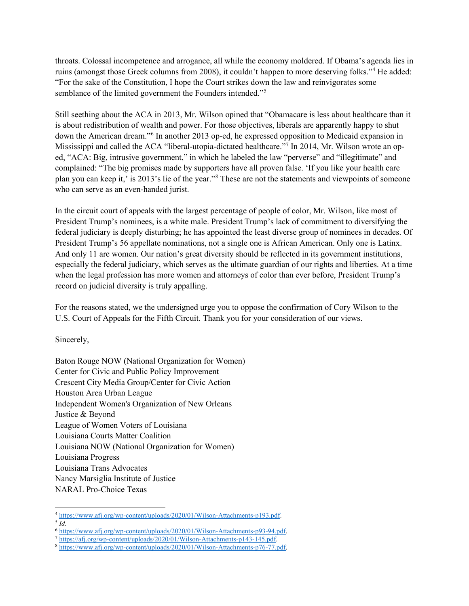throats. Colossal incompetence and arrogance, all while the economy moldered. If Obama's agenda lies in ruins (amongst those Greek columns from 2008), it couldn't happen to more deserving folks."[4](#page-1-0) He added: "For the sake of the Constitution, I hope the Court strikes down the law and reinvigorates some semblance of the limited government the Founders intended."<sup>5</sup>

Still seething about the ACA in 2013, Mr. Wilson opined that "Obamacare is less about healthcare than it is about redistribution of wealth and power. For those objectives, liberals are apparently happy to shut down the American dream."[6](#page-1-2) In another 2013 op-ed, he expressed opposition to Medicaid expansion in Mississippi and called the ACA "liberal-utopia-dictated healthcare."<sup>7</sup> In 2014, Mr. Wilson wrote an oped, "ACA: Big, intrusive government," in which he labeled the law "perverse" and "illegitimate" and complained: "The big promises made by supporters have all proven false. 'If you like your health care plan you can keep it,' is 2013's lie of the year.["8](#page-1-4) These are not the statements and viewpoints of someone who can serve as an even-handed jurist.

In the circuit court of appeals with the largest percentage of people of color, Mr. Wilson, like most of President Trump's nominees, is a white male. President Trump's lack of commitment to diversifying the federal judiciary is deeply disturbing; he has appointed the least diverse group of nominees in decades. Of President Trump's 56 appellate nominations, not a single one is African American. Only one is Latinx. And only 11 are women. Our nation's great diversity should be reflected in its government institutions, especially the federal judiciary, which serves as the ultimate guardian of our rights and liberties. At a time when the legal profession has more women and attorneys of color than ever before, President Trump's record on judicial diversity is truly appalling.

For the reasons stated, we the undersigned urge you to oppose the confirmation of Cory Wilson to the U.S. Court of Appeals for the Fifth Circuit. Thank you for your consideration of our views.

Sincerely,

Baton Rouge NOW (National Organization for Women) Center for Civic and Public Policy Improvement Crescent City Media Group/Center for Civic Action Houston Area Urban League Independent Women's Organization of New Orleans Justice & Beyond League of Women Voters of Louisiana Louisiana Courts Matter Coalition Louisiana NOW (National Organization for Women) Louisiana Progress Louisiana Trans Advocates Nancy Marsiglia Institute of Justice NARAL Pro-Choice Texas

<sup>4</sup> [https://www.afj.org/wp-content/uploads/2020/01/Wilson-Attachments-p193.pdf.](https://www.afj.org/wp-content/uploads/2020/01/Wilson-Attachments-p193.pdf)

<span id="page-1-1"></span><span id="page-1-0"></span> $\overline{5}$   $\overline{Id}$ .

<span id="page-1-2"></span><sup>6</sup> [https://www.afj.org/wp-content/uploads/2020/01/Wilson-Attachments-p93-94.pdf.](https://www.afj.org/wp-content/uploads/2020/01/Wilson-Attachments-p93-94.pdf)

<sup>7</sup> [https://afj.org/wp-content/uploads/2020/01/Wilson-Attachments-p143-145.pdf.](https://afj.org/wp-content/uploads/2020/01/Wilson-Attachments-p143-145.pdf)

<span id="page-1-4"></span><span id="page-1-3"></span><sup>8</sup> [https://www.afj.org/wp-content/uploads/2020/01/Wilson-Attachments-p76-77.pdf.](https://www.afj.org/wp-content/uploads/2020/01/Wilson-Attachments-p76-77.pdf)